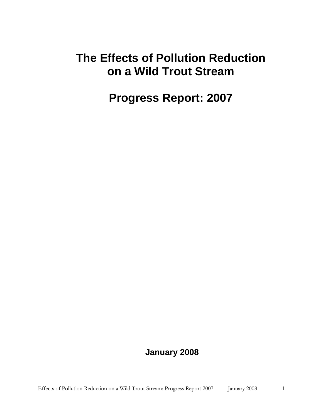# **The Effects of Pollution Reduction on a Wild Trout Stream**

# **Progress Report: 2007**

## **January 2008**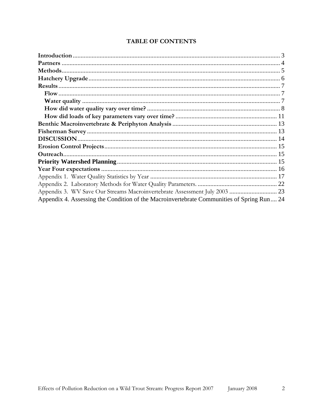| Appendix 3. WV Save Our Streams Macroinvertebrate Assessment July 2003  23                |  |
|-------------------------------------------------------------------------------------------|--|
| Appendix 4. Assessing the Condition of the Macroinvertebrate Communities of Spring Run 24 |  |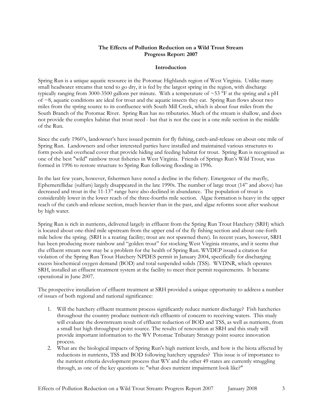#### **The Effects of Pollution Reduction on a Wild Trout Stream Progress Report: 2007**

#### **Introduction**

Spring Run is a unique aquatic resource in the Potomac Highlands region of West Virginia. Unlike many small headwater streams that tend to go dry, it is fed by the largest spring in the region, with discharge typically ranging from 3000-3500 gallons per minute. With a temperature of  $\sim$ 53 °F at the spring and a pH of ~8, aquatic conditions are ideal for trout and the aquatic insects they eat. Spring Run flows about two miles from the spring source to its confluence with South Mill Creek, which is about four miles from the South Branch of the Potomac River. Spring Run has no tributaries. Much of the stream is shallow, and does not provide the complex habitat that trout need - but that is not the case in a one mile section in the middle of the Run.

Since the early 1960's, landowner's have issued permits for fly fishing, catch-and-release on about one mile of Spring Run. Landowners and other interested parties have installed and maintained various structures to form pools and overhead cover that provide hiding and feeding habitat for trout. Spring Run is recognized as one of the best "wild" rainbow trout fisheries in West Virginia. Friends of Springs Run's Wild Trout, was formed in 1996 to restore structure to Spring Run following flooding in 1996.

In the last few years, however, fishermen have noted a decline in the fishery. Emergence of the mayfly, Ephemerellidae (sulfurs) largely disappeared in the late 1990s. The number of large trout (14" and above) has decreased and trout in the 11-13" range have also declined in abundance. The population of trout is considerably lower in the lower reach of the three-fourths mile section. Algae formation is heavy in the upper reach of the catch-and-release section, much heavier than in the past, and algae reforms soon after washout by high water.

Spring Run is rich in nutrients, delivered largely in effluent from the Spring Run Trout Hatchery (SRH) which is located about one-third mile upstream from the upper end of the fly fishing section and about one-forth mile below the spring. (SRH is a rearing facility; trout are not spawned there). In recent years, however, SRH has been producing more rainbow and "golden trout" for stocking West Virginia streams, and it seems that the effluent stream now may be a problem for the health of Spring Run. WVDEP issued a citation for violation of the Spring Run Trout Hatchery NPDES permit in January 2004, specifically for discharging excess biochemical oxygen demand (BOD) and total suspended solids (TSS). WVDNR, which operates SRH, installed an effluent treatment system at the facility to meet their permit requirements. It became operational in June 2007.

The prospective installation of effluent treatment at SRH provided a unique opportunity to address a number of issues of both regional and national significance:

- 1. Will the hatchery effluent treatment process significantly reduce nutrient discharge? Fish hatcheries throughout the country produce nutrient-rich effluents of concern to receiving waters. This study will evaluate the downstream result of effluent reduction of BOD and TSS, as well as nutrients, from a small but high throughput point source. The results of renovation at SRH and this study will provide important information to the WV Potomac Tributary Strategy point source innovation process.
- 2. What are the biological impacts of Spring Run's high nutrient levels, and how is the biota affected by reductions in nutrients, TSS and BOD following hatchery upgrades? This issue is of importance to the nutrient criteria development process that WV and the other 49 states are currently struggling through, as one of the key questions is: "what does nutrient impairment look like?"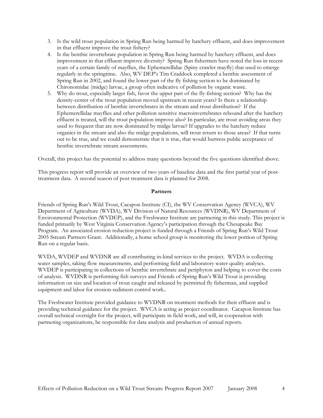- 3. Is the wild trout population in Spring Run being harmed by hatchery effluent, and does improvement in that effluent improve the trout fishery?
- 4. Is the benthic invertebrate population in Spring Run being harmed by hatchery effluent, and does improvement in that effluent improve diversity? Spring Run fishermen have noted the loss in recent years of a certain family of mayflies, the Ephemerellidae (Spiny crawler mayfly) that used to emerge regularly in the springtime. Also, WV DEP's Tim Craddock completed a benthic assessment of Spring Run in 2002, and found the lower part of the fly fishing section to be dominated by Chironomidae (midge) larvae, a group often indicative of pollution by organic waste.
- 5. Why do trout, especially larger fish, favor the upper part of the fly-fishing section? Why has the density-center of the trout population moved upstream in recent years? Is there a relationship between distribution of benthic invertebrates in the stream and trout distribution? If the Ephemerellidae mayflies and other pollution sensitive macroinvertebrates rebound after the hatchery effluent is treated, will the trout population improve also? In particular, are trout avoiding areas they used to frequent that are now dominated by midge larvae? If upgrades to the hatchery reduce organics in the stream and also the midge populations, will trout return to those areas? If that turns out to be true, and we could demonstrate that it is true, that would buttress public acceptance of benthic invertebrate stream assessments.

Overall, this project has the potential to address many questions beyond the five questions identified above.

This progress report will provide an overview of two years of baseline data and the first partial year of posttreatment data. A second season of post treatment data is planned for 2008.

#### **Partners**

Friends of Spring Run's Wild Trout, Cacapon Institute (CI), the WV Conservation Agency (WVCA), WV Department of Agriculture (WVDA), WV Division of Natural Resources (WVDNR), WV Department of Environmental Protection (WVDEP), and the Freshwater Institute are partnering in this study. This project is funded primarily by West Virginia Conservation Agency's participation through the Chesapeake Bay Program. An associated erosion reduction project is funded through a Friends of Spring Run's Wild Trout 2005 Stream Partners Grant. Additionally, a home school group is monitoring the lower portion of Spring Run on a regular basis.

WVDA, WVDEP and WVDNR are all contributing in-kind services to the project. WVDA is collecting water samples, taking flow measurements, and performing field and laboratory water quality analyses. WVDEP is participating in collections of benthic invertebrate and periphyton and helping to cover the costs of analysis. WVDNR is performing fish surveys and Friends of Spring Run's Wild Trout is providing information on size and location of trout caught and released by permitted fly fisherman, and supplied equipment and labor for erosion-sediment control work..

The Freshwater Institute provided guidance to WVDNR on treatment methods for their effluent and is providing technical guidance for the project. WVCA is acting as project coordinator. Cacapon Institute has overall technical oversight for the project, will participate in field work, and will, in cooperation with partnering organizations, be responsible for data analysis and production of annual reports.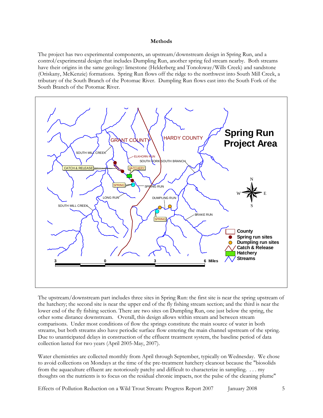#### **Methods**

The project has two experimental components, an upstream/downstream design in Spring Run, and a control/experimental design that includes Dumpling Run, another spring fed stream nearby. Both streams have their origins in the same geology: limestone (Helderberg and Tonoloway/Wills Creek) and sandstone (Oriskany, McKenzie) formations. Spring Run flows off the ridge to the northwest into South Mill Creek, a tributary of the South Branch of the Potomac River. Dumpling Run flows east into the South Fork of the South Branch of the Potomac River.



The upstream/downstream part includes three sites in Spring Run: the first site is near the spring upstream of the hatchery; the second site is near the upper end of the fly fishing stream section; and the third is near the lower end of the fly fishing section. There are two sites on Dumpling Run, one just below the spring, the other some distance downstream. Overall, this design allows within stream and between stream comparisons. Under most conditions of flow the springs constitute the main source of water in both streams, but both streams also have periodic surface flow entering the main channel upstream of the spring. Due to unanticipated delays in construction of the effluent treatment system, the baseline period of data collection lasted for two years (April 2005-May, 2007).

Water chemistries are collected monthly from April through September, typically on Wednesday. We chose to avoid collections on Mondays at the time of the pre-treatment hatchery cleanout because the "biosolids from the aquaculture effluent are notoriously patchy and difficult to characterize in sampling. . . . my thoughts on the nutrients is to focus on the residual chronic impacts, not the pulse of the cleaning plume"

Effects of Pollution Reduction on a Wild Trout Stream: Progress Report 2007 January 2008 5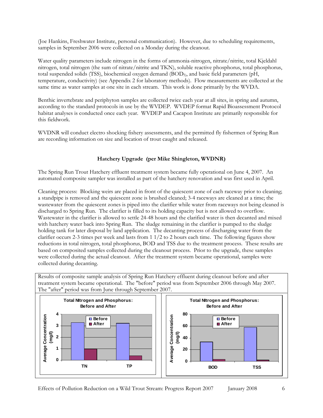(Joe Hankins, Freshwater Institute, personal communication). However, due to scheduling requirements, samples in September 2006 were collected on a Monday during the cleanout.

Water quality parameters include nitrogen in the forms of ammonia-nitrogen, nitrate/nitrite, total Kjeldahl nitrogen, total nitrogen (the sum of nitrate/nitrite and TKN), soluble reactive phosphorus, total phosphorus, total suspended solids (TSS), biochemical oxygen demand (BOD5), and basic field parameters (pH, temperature, conductivity) (see Appendix 2 for laboratory methods). Flow measurements are collected at the same time as water samples at one site in each stream. This work is done primarily by the WVDA.

Benthic invertebrate and periphyton samples are collected twice each year at all sites, in spring and autumn, according to the standard protocols in use by the WVDEP. WVDEP format Rapid Bioassessment Protocol habitat analyses is conducted once each year. WVDEP and Cacapon Institute are primarily responsible for this fieldwork.

WVDNR will conduct electro shocking fishery assessments, and the permitted fly fishermen of Spring Run are recording information on size and location of trout caught and released.

### **Hatchery Upgrade (per Mike Shingleton, WVDNR)**

The Spring Run Trout Hatchery effluent treatment system became fully operational on June 4, 2007. An automated composite sampler was installed as part of the hatchery renovation and was first used in April.

Cleaning process: Blocking weirs are placed in front of the quiescent zone of each raceway prior to cleaning; a standpipe is removed and the quiescent zone is brushed cleaned; 3-4 raceways are cleaned at a time; the wastewater from the quiescent zones is piped into the clarifier while water from raceways not being cleaned is discharged to Spring Run. The clarifier is filled to its holding capacity but is not allowed to overflow. Wastewater in the clarifier is allowed to settle 24-48 hours and the clarified water is then decanted and mixed with hatchery water back into Spring Run. The sludge remaining in the clarifier is pumped to the sludge holding tank for later disposal by land application. The decanting process of discharging water from the clarifier occurs 2-3 times per week and lasts from 1 1/2 to 2 hours each time. The following figures show reductions in total nitrogen, total phosphorus, BOD and TSS due to the treatment process. These results are based on composited samples collected during the cleanout process. Prior to the upgrade, these samples were collected during the actual cleanout. After the treatment system became operational, samples were collected during decanting.

Results of composite sample analysis of Spring Run Hatchery effluent during cleanout before and after treatment system became operational. The "before" period was from September 2006 through May 2007. The "after" period was from June through September 2007.

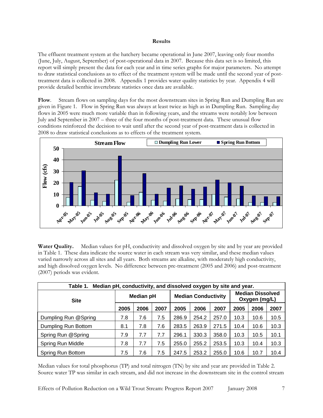#### **Results**

The effluent treatment system at the hatchery became operational in June 2007, leaving only four months (June, July, August, September) of post-operational data in 2007. Because this data set is so limited, this report will simply present the data for each year and in time series graphs for major parameters. No attempt to draw statistical conclusions as to effect of the treatment system will be made until the second year of posttreatment data is collected in 2008. Appendix 1 provides water quality statistics by year. Appendix 4 will provide detailed benthic invertebrate statistics once data are available.

**Flow**.Stream flows on sampling days for the most downstream sites in Spring Run and Dumpling Run are given in Figure 1. Flow in Spring Run was always at least twice as high as in Dumpling Run. Sampling day flows in 2005 were much more variable than in following years, and the streams were notably low between July and September in 2007 – three of the four months of post-treatment data. These unusual flow conditions reinforced the decision to wait until after the second year of post-treatment data is collected in 2008 to draw statistical conclusions as to effects of the treatment system.



**Water Quality.** Median values for pH, conductivity and dissolved oxygen by site and by year are provided in Table 1. These data indicate the source water in each stream was very similar, and these median values varied narrowly across all sites and all years. Both streams are alkaline, with moderately high conductivity, and high dissolved oxygen levels. No difference between pre-treatment (2005 and 2006) and post-treatment (2007) periods was evident.

| Median pH, conductivity, and dissolved oxygen by site and year.<br>Table 1. |      |                                                |      |       |       |       |      |      |                                          |  |  |  |
|-----------------------------------------------------------------------------|------|------------------------------------------------|------|-------|-------|-------|------|------|------------------------------------------|--|--|--|
| <b>Site</b>                                                                 |      | <b>Median Conductivity</b><br><b>Median pH</b> |      |       |       |       |      |      | <b>Median Dissolved</b><br>Oxygen (mg/L) |  |  |  |
|                                                                             | 2005 | 2006                                           | 2007 | 2005  | 2006  | 2007  | 2005 | 2006 | 2007                                     |  |  |  |
| Dumpling Run @Spring                                                        | 7.8  | 7.6                                            | 7.5  | 286.9 | 254.2 | 257.0 | 10.3 | 10.6 | 10.5                                     |  |  |  |
| Dumpling Run Bottom                                                         | 8.1  | 7.8                                            | 7.6  | 283.5 | 263.9 | 271.5 | 10.4 | 10.6 | 10.3                                     |  |  |  |
| Spring Run @Spring                                                          | 7.9  | 7.7                                            | 7.7  | 296.1 | 330.3 | 358.0 | 10.3 | 10.5 | 10.1                                     |  |  |  |
| Spring Run Middle                                                           | 7.8  | 7.7                                            | 7.5  | 255.0 | 255.2 | 253.5 | 10.3 | 10.4 | 10.3                                     |  |  |  |
| Spring Run Bottom                                                           | 7.5  | 7.6                                            | 7.5  | 247.5 | 253.2 | 255.0 | 10.6 | 10.7 | 10.4                                     |  |  |  |

Median values for total phosphorus (TP) and total nitrogen (TN) by site and year are provided in Table 2. Source water TP was similar in each stream, and did not increase in the downstream site in the control stream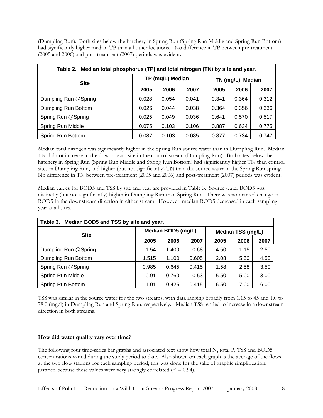(Dumpling Run). Both sites below the hatchery in Spring Run (Spring Run Middle and Spring Run Bottom) had significantly higher median TP than all other locations. No difference in TP between pre-treatment (2005 and 2006) and post-treatment (2007) periods was evident.

| Table 2. Median total phosphorus (TP) and total nitrogen (TN) by site and year. |       |                  |       |                     |       |       |  |  |  |  |  |
|---------------------------------------------------------------------------------|-------|------------------|-------|---------------------|-------|-------|--|--|--|--|--|
| <b>Site</b>                                                                     |       | TP (mg/L) Median |       | Median<br>TN (mg/L) |       |       |  |  |  |  |  |
|                                                                                 | 2005  | 2006             | 2007  | 2005                | 2006  | 2007  |  |  |  |  |  |
| Dumpling Run @Spring                                                            | 0.028 | 0.054            | 0.041 | 0.341               | 0.364 | 0.312 |  |  |  |  |  |
| Dumpling Run Bottom                                                             | 0.026 | 0.044            | 0.038 | 0.364               | 0.356 | 0.336 |  |  |  |  |  |
| Spring Run @Spring                                                              | 0.025 | 0.049            | 0.036 | 0.641               | 0.570 | 0.517 |  |  |  |  |  |
| Spring Run Middle                                                               | 0.075 | 0.103            | 0.106 | 0.887               | 0.634 | 0.775 |  |  |  |  |  |
| Spring Run Bottom                                                               | 0.087 | 0.103            | 0.085 | 0.877               | 0.734 | 0.747 |  |  |  |  |  |

Median total nitrogen was significantly higher in the Spring Run source water than in Dumpling Run. Median TN did not increase in the downstream site in the control stream (Dumpling Run). Both sites below the hatchery in Spring Run (Spring Run Middle and Spring Run Bottom) had significantly higher TN than control sites in Dumpling Run, and higher (but not significantly) TN than the source water in the Spring Run spring. No difference in TN between pre-treatment (2005 and 2006) and post-treatment (2007) periods was evident.

Median values for BOD5 and TSS by site and year are provided in Table 3. Source water BOD5 was distinctly (but not significantly) higher in Dumpling Run than Spring Run. There was no marked change in BOD5 in the downstream direction in either stream. However, median BOD5 decreased in each sampling year at all sites.

| Median BOD5 and TSS by site and year.<br>Table 3. |       |                    |       |                   |      |      |  |  |  |  |  |  |
|---------------------------------------------------|-------|--------------------|-------|-------------------|------|------|--|--|--|--|--|--|
| <b>Site</b>                                       |       | Median BOD5 (mg/L) |       | Median TSS (mg/L) |      |      |  |  |  |  |  |  |
|                                                   | 2005  | 2006               | 2007  | 2005              | 2007 |      |  |  |  |  |  |  |
| Dumpling Run @Spring                              | 1.54  | 1.400              | 0.68  | 4.50              | 1.15 | 2.50 |  |  |  |  |  |  |
| Dumpling Run Bottom                               | 1.515 | 1.100              | 0.605 | 2.08              | 5.50 | 4.50 |  |  |  |  |  |  |
| Spring Run @Spring                                | 0.985 | 0.645              | 0.415 | 1.58              | 2.58 | 3.50 |  |  |  |  |  |  |
| Spring Run Middle                                 | 0.91  | 0.760              | 0.53  | 5.50              | 5.00 | 3.00 |  |  |  |  |  |  |
| Spring Run Bottom                                 | 1.01  | 0.425              | 0.415 | 6.50              | 7.00 | 6.00 |  |  |  |  |  |  |

TSS was similar in the source water for the two streams, with data ranging broadly from 1.15 to 45 and 1.0 to 78.0 (mg/l) in Dumpling Run and Spring Run, respectively. Median TSS tended to increase in a downstream direction in both streams.

#### **How did water quality vary over time?**

The following four time-series bar graphs and associated text show how total N, total P, TSS and BOD5 concentrations varied during the study period to date. Also shown on each graph is the average of the flows at the two flow stations for each sampling period; this was done for the sake of graphic simplification, justified because these values were very strongly correlated ( $r^2 = 0.94$ ).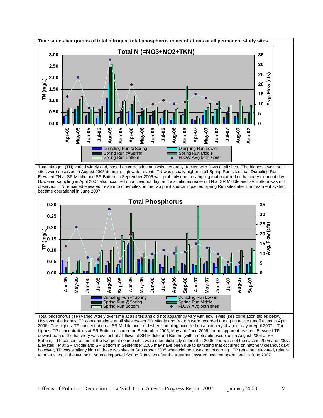

Bottom). TP concentrations at the two point source sites were often distinctly different in 2006; this was not the case in 2005 and 2007. Elevated TP at SR Middle and SR Bottom in September 2006 may have been due to sampling that occurred on hatchery cleanout day; however, TP was similarly high at these two sites in September 2005 when cleanout was not occurring. TP remained elevated, relatve to other sites, in the two point source impacted Spring Run sites after the treatment system became operational in June 2007.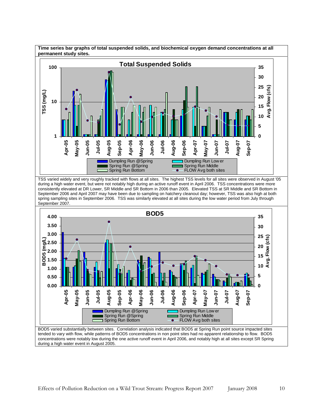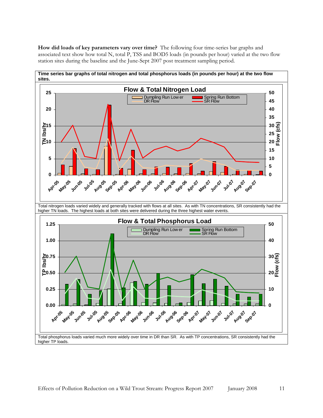**How did loads of key parameters vary over time?** The following four time-series bar graphs and associated text show how total N, total P, TSS and BOD5 loads (in pounds per hour) varied at the two flow station sites during the baseline and the June-Sept 2007 post treatment sampling period.

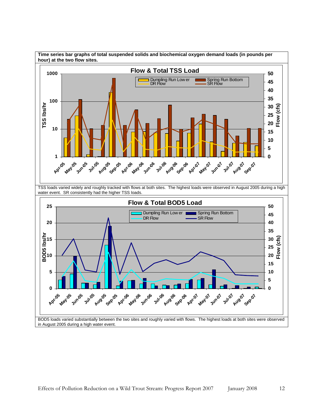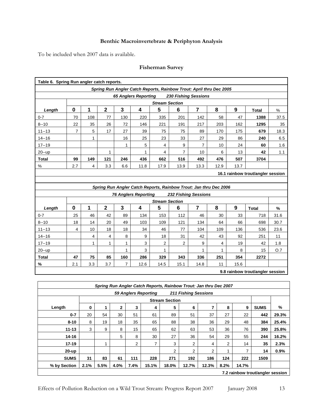### **Benthic Macroinvertebrate & Periphyton Analysis**

To be included when 2007 data is available.

| <b>Fisherman Survey</b> |  |
|-------------------------|--|
|-------------------------|--|

| Table 6. Spring Run angler catch reports. |                                                                     |                |                |                |                             |                       |                |                                                                   |      |      |                                   |               |
|-------------------------------------------|---------------------------------------------------------------------|----------------|----------------|----------------|-----------------------------|-----------------------|----------------|-------------------------------------------------------------------|------|------|-----------------------------------|---------------|
|                                           | Spring Run Angler Catch Reports, Rainbow Trout: April thru Dec 2005 |                |                |                |                             |                       |                |                                                                   |      |      |                                   |               |
|                                           |                                                                     |                |                |                | <b>65 Anglers Reporting</b> |                       |                | <b>230 Fishing Sessions</b>                                       |      |      |                                   |               |
|                                           | <b>Stream Section</b>                                               |                |                |                |                             |                       |                |                                                                   |      |      |                                   |               |
| Length                                    | $\mathbf 0$                                                         | 1              | $\overline{2}$ | $\overline{3}$ | 4                           | 5                     | 6              | $\overline{7}$                                                    | 8    | 9    | <b>Total</b>                      | %             |
| $0 - 7$                                   | 70                                                                  | 108            | 77             | 130            | 220                         | 335                   | 201            | 142                                                               | 58   | 47   | 1388                              | 37.5          |
| $8 - 10$                                  | 22                                                                  | 35             | 26             | 72             | 146                         | 221                   | 191            | 217                                                               | 203  | 162  | 1295                              | 35            |
| $11 - 13$                                 | $\overline{7}$                                                      | 5              | 17             | 27             | 39                          | 75                    | 75             | 89                                                                | 170  | 175  | 679                               | 18.3          |
| $14 - 16$                                 |                                                                     | $\mathbf{1}$   |                | 16             | 25                          | 23                    | 33             | 27                                                                | 29   | 86   | 240                               | 6.5           |
| $17 - 19$                                 |                                                                     |                |                | 1              | 5                           | 4                     | 9              | $\overline{7}$                                                    | 10   | 24   | 60                                | 1.6           |
| $20 - up$                                 |                                                                     |                | 1              |                | 1                           | 4                     | $\overline{7}$ | 10                                                                | 6    | 13   | 42                                | 1.1           |
| <b>Total</b>                              | 99                                                                  | 149            | 121            | 246            | 436                         | 662                   | 516            | 492                                                               | 476  | 507  | 3704                              |               |
| %                                         | 2.7                                                                 | $\overline{4}$ | 3.3            | 6.6            | 11.8                        | 17.9                  | 13.9           | 13.3                                                              | 12.9 | 13.7 |                                   |               |
|                                           |                                                                     |                |                |                |                             |                       |                |                                                                   |      |      | 16.1 rainbow trout/angler session |               |
|                                           |                                                                     |                |                |                |                             |                       |                |                                                                   |      |      |                                   |               |
|                                           |                                                                     |                |                |                |                             |                       |                | Spring Run Angler Catch Reports, Rainbow Trout: Jan thru Dec 2006 |      |      |                                   |               |
|                                           |                                                                     |                |                |                | <b>76 Anglers Reporting</b> |                       |                | <b>232 Fishing Sessions</b>                                       |      |      |                                   |               |
|                                           |                                                                     |                |                |                |                             | <b>Stream Section</b> |                |                                                                   |      |      |                                   |               |
| Length                                    | $\bf{0}$                                                            | 1              | $\mathbf{2}$   | 3              | 4                           | 5                     | 6              | $\overline{7}$                                                    | 8    | 9    | <b>Total</b>                      | $\frac{9}{6}$ |
| $0 - 7$                                   | 25                                                                  | 46             | 42             | 89             | 134                         | 153                   | 112            | 46                                                                | 30   | 33   | 718                               | 31.6          |
| $8 - 10$                                  |                                                                     |                |                |                |                             |                       |                |                                                                   |      |      |                                   |               |
|                                           | 18                                                                  | 14             | 20             | 49             | 103                         | 109                   | 121            | 134                                                               | 64   | 66   | 698                               | 30.7          |
| $11 - 13$                                 | $\overline{4}$                                                      | 10             | 18             | 18             | 34                          | 46                    | 77             | 104                                                               | 109  | 136  | 536                               | 23.6          |
| $14 - 16$                                 |                                                                     | 4              | 4              | 8              | 9                           | 18                    | 31             | 42                                                                | 43   | 92   | 251                               | 11            |
| $17 - 19$                                 |                                                                     | $\mathbf{1}$   | 1              | 1              | 3                           | 2                     | 2              | 9                                                                 | 4    | 19   | 42                                | 1.8           |
| $20 - up$                                 |                                                                     |                |                | 1              | 3                           | 1                     |                | 1                                                                 | 1    | 8    | 15                                | O.7           |
| <b>Total</b>                              | 47                                                                  | 75             | 85             | 160            | 286                         | 329                   | 343            | 336                                                               | 251  | 354  | 2272                              |               |
| %                                         | 2.1                                                                 | 3.3            | 3.7            | $\overline{7}$ | 12.6                        | 14.5                  | 15.1           | 14.8                                                              | 11   | 15.6 |                                   |               |
|                                           |                                                                     |                |                |                |                             |                       |                |                                                                   |      |      | 9.8 rainbow trout/angler session  |               |

|              | Spring Run Angler Catch Reports, Rainbow Trout: Jan thru Dec 2007 |                       |              |      |       |       |                |       |      |       |                                  |       |  |
|--------------|-------------------------------------------------------------------|-----------------------|--------------|------|-------|-------|----------------|-------|------|-------|----------------------------------|-------|--|
|              | <b>59 Anglers Reporting</b><br><b>211 Fishing Sessions</b>        |                       |              |      |       |       |                |       |      |       |                                  |       |  |
|              |                                                                   | <b>Stream Section</b> |              |      |       |       |                |       |      |       |                                  |       |  |
| Length       | 0                                                                 | 1                     | $\mathbf{2}$ | 3    | 4     | 5     | 6              | 7     | 8    | 9     | <b>SUMS</b>                      | %     |  |
| $0 - 7$      | 20                                                                | 54                    | 30           | 51   | 61    | 89    | 51             | 37    | 27   | 22    | 442                              | 29.3% |  |
| $8 - 10$     | 8                                                                 | 19                    | 18           | 35   | 65    | 88    | 38             | 36    | 29   | 48    | 384                              | 25.4% |  |
| $11 - 13$    | 3                                                                 | 9                     | 8            | 15   | 65    | 62    | 63             | 53    | 36   | 76    | 390                              | 25.8% |  |
| $14 - 16$    |                                                                   |                       | 5            | 8    | 30    | 27    | 36             | 54    | 29   | 55    | 244                              | 16.2% |  |
| $17 - 19$    |                                                                   |                       |              | 2    | 7     | 3     | 2              | 4     | 2    | 14    | 35                               | 2.3%  |  |
| $20-up$      |                                                                   |                       |              |      |       | 2     | $\overline{2}$ | 2     |      | 7     | 14                               | 0.9%  |  |
| <b>SUMS</b>  | 31                                                                | 83                    | 61           | 111  | 228   | 271   | 192            | 186   | 124  | 222   | 1509                             |       |  |
| % by Section | 2.1%                                                              | 5.5%                  | 4.0%         | 7.4% | 15.1% | 18.0% | 12.7%          | 12.3% | 8.2% | 14.7% |                                  |       |  |
|              |                                                                   |                       |              |      |       |       |                |       |      |       | 7.2 rainbow trout/angler session |       |  |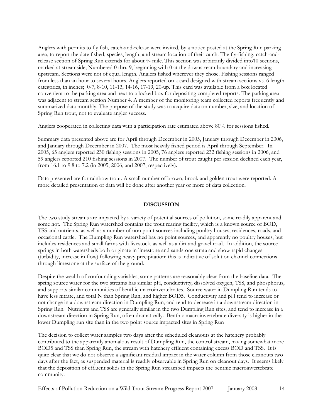Anglers with permits to fly fish, catch-and-release were invited, by a notice posted at the Spring Run parking area, to report the date fished, species, length, and stream location of their catch. The fly-fishing, catch-andrelease section of Spring Run extends for about ¾ mile. This section was arbitrarily divided into10 sections, marked at streamside; Numbered 0 thru 9, beginning with 0 at the downstream boundary and increasing upstream. Sections were not of equal length. Anglers fished wherever they chose. Fishing sessions ranged from less than an hour to several hours. Anglers reported on a card designed with stream sections vs. 6 length categories, in inches; 0-7, 8-10, 11-13, 14-16, 17-19, 20-up. This card was available from a box located convenient to the parking area and next to a locked box for depositing completed reports. The parking area was adjacent to stream section Number 4. A member of the monitoring team collected reports frequently and summarized data monthly. The purpose of the study was to acquire data on number, size, and location of Spring Run trout, not to evaluate angler success.

Anglers cooperated in collecting data with a participation rate estimated above 80% for sessions fished.

Summary data presented above are for April through December in 2005, January through December in 2006, and January through December in 2007. The most heavily fished period is April through September. In 2005, 65 anglers reported 230 fishing sessions in 2005, 76 anglers reported 232 fishing sessions in 2006, and 59 anglers reported 210 fishing sessions in 2007. The number of trout caught per session declined each year, from 16.1 to 9.8 to 7.2 (in 2005, 2006, and 2007, respectively).

Data presented are for rainbow trout. A small number of brown, brook and golden trout were reported. A more detailed presentation of data will be done after another year or more of data collection.

#### **DISCUSSION**

The two study streams are impacted by a variety of potential sources of pollution, some readily apparent and some not. The Spring Run watershed contains the trout rearing facility, which is a known source of BOD, TSS and nutrients, as well as a number of non point sources including poultry houses, residences, roads, and occasional cattle. The Dumpling Run watershed has no point sources, and apparently no poultry houses, but includes residences and small farms with livestock, as well as a dirt and gravel road. In addition, the source springs in both watersheds both originate in limestone and sandstone strata and show rapid changes (turbidity, increase in flow) following heavy precipitation; this is indicative of solution channel connections through limestone at the surface of the ground.

Despite the wealth of confounding variables, some patterns are reasonably clear from the baseline data. The spring source water for the two streams has similar pH, conductivity, dissolved oxygen, TSS, and phosphorus, and supports similar communities of benthic macroinvertebrates. Source water in Dumpling Run tends to have less nitrate, and total N than Spring Run, and higher BOD5. Conductivity and pH tend to increase or not change in a downstream direction in Dumpling Run, and tend to decrease in a downstream direction in Spring Run. Nutrients and TSS are generally similar in the two Dumpling Run sites, and tend to increase in a downstream direction in Spring Run, often dramatically. Benthic macroinvertebrate diversity is higher in the lower Dumpling run site than in the two point source impacted sites in Spring Run

The decision to collect water samples two days after the scheduled cleanouts at the hatchery probably contributed to the apparently anomalous result of Dumpling Run, the control stream, having somewhat more BOD5 and TSS than Spring Run, the stream with hatchery effluent containing excess BOD and TSS. It is quite clear that we do not observe a significant residual impact in the water column from those cleanouts two days after the fact, as suspended material is readily observable in Spring Run on cleanout days. It seems likely that the deposition of effluent solids in the Spring Run streambed impacts the benthic macroinvertebrate community.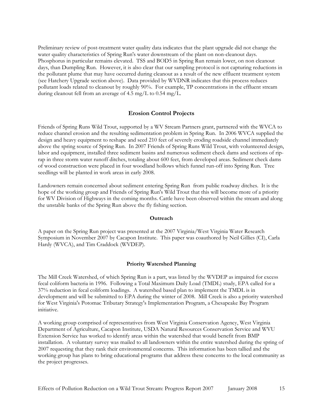Preliminary review of post-treatment water quality data indicates that the plant upgrade did not change the water quality characteristics of Spring Run's water downstream of the plant on non-cleanout days. Phosphorus in particular remains elevated. TSS and BOD5 in Spring Run remain lower, on non cleanout days, than Dumpling Run. However, it is also clear that our sampling protocol is not capturing reductions in the pollutant plume that may have occurred during cleanout as a result of the new effluent treatment system (see Hatchery Upgrade section above). Data provided by WVDNR indicates that this process reduces pollutant loads related to cleanout by roughly 90%. For example, TP concentrations in the effluent stream during cleanout fell from an average of 4.5 mg/L to 0.54 mg/L.

#### **Erosion Control Projects**

Friends of Spring Runs Wild Trout, supported by a WV Stream Partners grant, partnered with the WVCA to reduce channel erosion and the resulting sedimentation problem in Spring Run. In 2006 WVCA supplied the design and heavy equipment to reshape and seed 210 feet of severely eroding roadside channel immediately above the spring source of Spring Run. In 2007 Friends of Spring Runs Wild Trout, with volunteered design, labor and equipment, installed three sediment basins and numerous sediment check dams and sections of riprap in three storm water runoff ditches, totaling about 600 feet, from developed areas. Sediment check dams of wood construction were placed in four woodland hollows which funnel run-off into Spring Run. Tree seedlings will be planted in work areas in early 2008.

Landowners remain concerned about sediment entering Spring Run from public roadway ditches. It is the hope of the working group and Friends of Spring Run's Wild Trout that this will become more of a priority for WV Division of Highways in the coming months. Cattle have been observed within the stream and along the unstable banks of the Spring Run above the fly fishing section.

#### **Outreach**

A paper on the Spring Run project was presented at the 2007 Virginia/West Virginia Water Research Symposium in November 2007 by Cacapon Institute. This paper was coauthored by Neil Gillies (CI), Carla Hardy (WVCA), and Tim Craddock (WVDEP).

#### **Priority Watershed Planning**

The Mill Creek Watershed, of which Spring Run is a part, was listed by the WVDEP as impaired for excess fecal coliform bacteria in 1996. Following a Total Maximum Daily Load (TMDL) study, EPA called for a 37% reduction in fecal coliform loadings. A watershed based plan to implement the TMDL is in development and will be submitted to EPA during the winter of 2008. Mill Creek is also a priority watershed for West Virginia's Potomac Tributary Strategy's Implementation Program, a Chesapeake Bay Program initiative.

A working group comprised of representatives from West Virginia Conservation Agency, West Virginia Department of Agriculture, Cacapon Institute, USDA Natural Resources Conservation Service and WVU Extension Service has worked to identify areas within the watershed that would benefit from BMP installation. A voluntary survey was mailed to all landowners within the entire watershed during the spring of 2007 requesting that they rank their environmental concerns. This information has been tallied and the working group has plans to bring educational programs that address these concerns to the local community as the project progresses.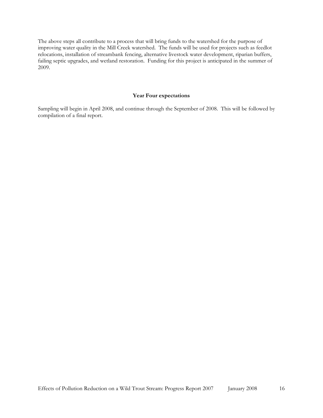The above steps all contribute to a process that will bring funds to the watershed for the purpose of improving water quality in the Mill Creek watershed. The funds will be used for projects such as feedlot relocations, installation of streambank fencing, alternative livestock water development, riparian buffers, failing septic upgrades, and wetland restoration. Funding for this project is anticipated in the summer of 2009.

#### **Year Four expectations**

Sampling will begin in April 2008, and continue through the September of 2008. This will be followed by compilation of a final report.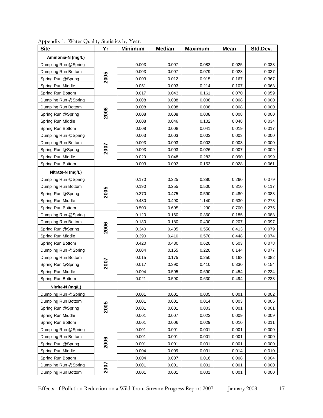| <b>Site</b>          | Yr   | <b>Minimum</b> | <b>Median</b> | <b>Maximum</b> | <b>Mean</b> | Std.Dev. |
|----------------------|------|----------------|---------------|----------------|-------------|----------|
| Ammonia-N (mg/L)     |      |                |               |                |             |          |
| Dumpling Run @Spring |      | 0.003          | 0.007         | 0.082          | 0.025       | 0.033    |
| Dumpling Run Bottom  |      | 0.003          | 0.007         | 0.079          | 0.028       | 0.037    |
| Spring Run @Spring   | 2005 | 0.003          | 0.012         | 0.915          | 0.167       | 0.367    |
| Spring Run Middle    |      | 0.051          | 0.093         | 0.214          | 0.107       | 0.063    |
| Spring Run Bottom    |      | 0.017          | 0.043         | 0.161          | 0.070       | 0.059    |
| Dumpling Run @Spring |      | 0.008          | 0.008         | 0.008          | 0.008       | 0.000    |
| Dumpling Run Bottom  |      | 0.008          | 0.008         | 0.008          | 0.008       | 0.000    |
| Spring Run @Spring   | 2006 | 0.008          | 0.008         | 0.008          | 0.008       | 0.000    |
| Spring Run Middle    |      | 0.008          | 0.046         | 0.102          | 0.048       | 0.034    |
| Spring Run Bottom    |      | 0.008          | 0.008         | 0.041          | 0.019       | 0.017    |
| Dumpling Run @Spring |      | 0.003          | 0.003         | 0.003          | 0.003       | 0.000    |
| Dumpling Run Bottom  |      | 0.003          | 0.003         | 0.003          | 0.003       | 0.000    |
| Spring Run @Spring   | 2007 | 0.003          | 0.003         | 0.026          | 0.007       | 0.009    |
| Spring Run Middle    |      | 0.029          | 0.048         | 0.283          | 0.090       | 0.099    |
| Spring Run Bottom    |      | 0.003          | 0.003         | 0.153          | 0.028       | 0.061    |
| Nitrate-N (mg/L)     |      |                |               |                |             |          |
| Dumpling Run @Spring |      | 0.170          | 0.225         | 0.380          | 0.260       | 0.079    |
| Dumpling Run Bottom  |      | 0.190          | 0.255         | 0.500          | 0.310       | 0.117    |
| Spring Run @Spring   | 2005 | 0.370          | 0.475         | 0.590          | 0.480       | 0.083    |
| Spring Run Middle    |      | 0.430          | 0.490         | 1.140          | 0.630       | 0.273    |
| Spring Run Bottom    |      | 0.500          | 0.605         | 1.230          | 0.700       | 0.275    |
| Dumpling Run @Spring |      | 0.120          | 0.160         | 0.360          | 0.185       | 0.088    |
| Dumpling Run Bottom  |      | 0.130          | 0.180         | 0.400          | 0.207       | 0.097    |
| Spring Run @Spring   | 2006 | 0.340          | 0.405         | 0.550          | 0.413       | 0.079    |
| Spring Run Middle    |      | 0.390          | 0.410         | 0.570          | 0.448       | 0.074    |
| Spring Run Bottom    |      | 0.420          | 0.480         | 0.620          | 0.503       | 0.078    |
| Dumpling Run @Spring |      | 0.004          | 0.155         | 0.220          | 0.144       | 0.077    |
| Dumpling Run Bottom  |      | 0.015          | 0.175         | 0.250          | 0.163       | 0.082    |
| Spring Run @Spring   | 2007 | 0.017          | 0.390         | 0.410          | 0.330       | 0.154    |
| Spring Run Middle    |      | 0.004          | 0.505         | 0.690          | 0.454       | 0.234    |
| Spring Run Bottom    |      | 0.021          | 0.590         | 0.630          | 0.494       | 0.233    |
| Nitrite-N (mg/L)     |      |                |               |                |             |          |
| Dumpling Run @Spring |      | 0.001          | 0.001         | 0.005          | 0.001       | 0.002    |
| Dumpling Run Bottom  |      | 0.001          | 0.001         | 0.014          | 0.003       | 0.006    |
| Spring Run @Spring   | 2005 | 0.001          | 0.001         | 0.003          | 0.001       | 0.001    |
| Spring Run Middle    |      | 0.001          | 0.007         | 0.023          | 0.009       | 0.009    |
| Spring Run Bottom    |      | 0.001          | 0.006         | 0.029          | 0.010       | 0.011    |
| Dumpling Run @Spring |      | 0.001          | 0.001         | 0.001          | 0.001       | 0.000    |
| Dumpling Run Bottom  |      | 0.001          | 0.001         | 0.001          | 0.001       | 0.000    |
| Spring Run @Spring   | 2006 | 0.001          | 0.001         | 0.001          | 0.001       | 0.000    |
| Spring Run Middle    |      | 0.004          | 0.009         | 0.031          | 0.014       | 0.010    |
| Spring Run Bottom    |      | 0.004          | 0.007         | 0.016          | 0.008       | 0.004    |
| Dumpling Run @Spring | 2007 | 0.001          | 0.001         | 0.001          | 0.001       | 0.000    |
| Dumpling Run Bottom  |      | 0.001          | 0.001         | 0.001          | 0.001       | 0.000    |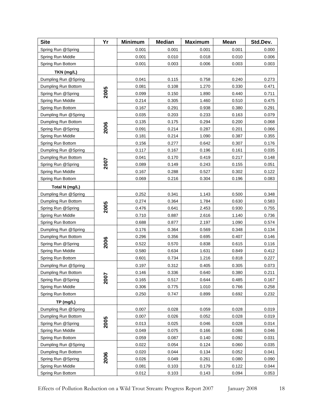| <b>Site</b>          | Yr   | <b>Minimum</b> | <b>Median</b> | <b>Maximum</b> | <b>Mean</b> | Std.Dev. |
|----------------------|------|----------------|---------------|----------------|-------------|----------|
| Spring Run @Spring   |      | 0.001          | 0.001         | 0.001          | 0.001       | 0.000    |
| Spring Run Middle    |      | 0.001          | 0.010         | 0.018          | 0.010       | 0.006    |
| Spring Run Bottom    |      | 0.001          | 0.003         | 0.006          | 0.003       | 0.003    |
| TKN (mg/L)           |      |                |               |                |             |          |
| Dumpling Run @Spring |      | 0.041          | 0.115         | 0.758          | 0.240       | 0.273    |
| Dumpling Run Bottom  |      | 0.081          | 0.108         | 1.270          | 0.330       | 0.471    |
| Spring Run @Spring   | 2005 | 0.099          | 0.150         | 1.890          | 0.440       | 0.711    |
| Spring Run Middle    |      | 0.214          | 0.305         | 1.460          | 0.510       | 0.475    |
| Spring Run Bottom    |      | 0.167          | 0.291         | 0.938          | 0.380       | 0.291    |
| Dumpling Run @Spring |      | 0.035          | 0.203         | 0.233          | 0.163       | 0.079    |
| Dumpling Run Bottom  |      | 0.135          | 0.175         | 0.294          | 0.200       | 0.068    |
| Spring Run @Spring   | 2006 | 0.091          | 0.214         | 0.287          | 0.201       | 0.066    |
| Spring Run Middle    |      | 0.181          | 0.214         | 1.090          | 0.387       | 0.355    |
| Spring Run Bottom    |      | 0.156          | 0.277         | 0.642          | 0.307       | 0.176    |
| Dumpling Run @Spring |      | 0.117          | 0.167         | 0.196          | 0.161       | 0.035    |
| Dumpling Run Bottom  |      | 0.041          | 0.170         | 0.419          | 0.217       | 0.148    |
| Spring Run @Spring   | 2007 | 0.089          | 0.149         | 0.243          | 0.155       | 0.051    |
| Spring Run Middle    |      | 0.167          | 0.288         | 0.527          | 0.302       | 0.122    |
| Spring Run Bottom    |      | 0.069          | 0.216         | 0.304          | 0.196       | 0.083    |
| Total N (mg/L)       |      |                |               |                |             |          |
| Dumpling Run @Spring |      | 0.252          | 0.341         | 1.143          | 0.500       | 0.348    |
| Dumpling Run Bottom  |      | 0.274          | 0.364         | 1.784          | 0.630       | 0.583    |
| Spring Run @Spring   | 2005 | 0.476          | 0.641         | 2.453          | 0.930       | 0.755    |
| Spring Run Middle    |      | 0.710          | 0.887         | 2.616          | 1.140       | 0.736    |
| Spring Run Bottom    |      | 0.688          | 0.877         | 2.197          | 1.090       | 0.574    |
| Dumpling Run @Spring |      | 0.176          | 0.364         | 0.569          | 0.348       | 0.134    |
| Dumpling Run Bottom  |      | 0.296          | 0.356         | 0.695          | 0.407       | 0.146    |
| Spring Run @Spring   | 2006 | 0.522          | 0.570         | 0.838          | 0.615       | 0.116    |
| Spring Run Middle    |      | 0.580          | 0.634         | 1.631          | 0.849       | 0.412    |
| Spring Run Bottom    |      | 0.601          | 0.734         | 1.216          | 0.818       | 0.227    |
| Dumpling Run @Spring |      | 0.197          | 0.312         | 0.405          | 0.305       | 0.073    |
| Dumpling Run Bottom  |      | 0.146          | 0.336         | 0.640          | 0.380       | 0.211    |
| Spring Run @Spring   | 200  | 0.165          | 0.517         | 0.644          | 0.485       | 0.167    |
| Spring Run Middle    |      | 0.306          | 0.775         | 1.010          | 0.766       | 0.258    |
| Spring Run Bottom    |      | 0.250          | 0.747         | 0.899          | 0.692       | 0.232    |
| TP (mg/L)            |      |                |               |                |             |          |
| Dumpling Run @Spring |      | 0.007          | 0.028         | 0.059          | 0.028       | 0.019    |
| Dumpling Run Bottom  |      | 0.007          | 0.026         | 0.052          | 0.028       | 0.019    |
| Spring Run @Spring   | 2005 | 0.013          | 0.025         | 0.046          | 0.028       | 0.014    |
| Spring Run Middle    |      | 0.049          | 0.075         | 0.166          | 0.086       | 0.046    |
| Spring Run Bottom    |      | 0.059          | 0.087         | 0.140          | 0.092       | 0.031    |
| Dumpling Run @Spring |      | 0.022          | 0.054         | 0.124          | 0.060       | 0.035    |
| Dumpling Run Bottom  |      | 0.020          | 0.044         | 0.134          | 0.052       | 0.041    |
| Spring Run @Spring   | 2006 | 0.026          | 0.049         | 0.261          | 0.080       | 0.090    |
| Spring Run Middle    |      | 0.081          | 0.103         | 0.179          | 0.122       | 0.044    |
| Spring Run Bottom    |      | 0.012          | 0.103         | 0.143          | 0.094       | 0.053    |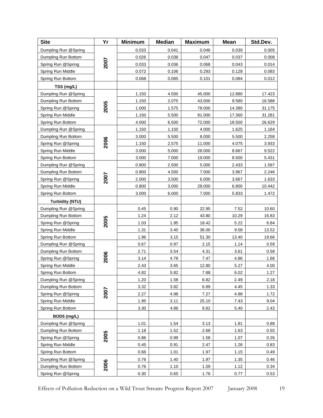| <b>Site</b>                                 | Yr   | <b>Minimum</b> | <b>Median</b>  | <b>Maximum</b>  | <b>Mean</b>    | Std.Dev.        |
|---------------------------------------------|------|----------------|----------------|-----------------|----------------|-----------------|
| Dumpling Run @Spring                        |      | 0.033          | 0.041          | 0.046           | 0.039          | 0.005           |
| Dumpling Run Bottom                         |      | 0.026          | 0.038          | 0.047           | 0.037          | 0.008           |
| Spring Run @Spring                          | 2007 | 0.033          | 0.036          | 0.068           | 0.043          | 0.014           |
| Spring Run Middle                           |      | 0.072          | 0.106          | 0.293           | 0.128          | 0.083           |
| Spring Run Bottom                           |      | 0.068          | 0.085          | 0.101           | 0.084          | 0.012           |
| TSS (mg/L)                                  |      |                |                |                 |                |                 |
| Dumpling Run @Spring                        |      | 1.150          | 4.500          | 45.000          | 12.880         | 17.423          |
| Dumpling Run Bottom                         |      | 1.150          | 2.075          | 43.000          | 9.580          | 16.588          |
| Spring Run @Spring                          | 2005 | 1.000          | 1.575          | 78.000          | 14.380         | 31.175          |
| Spring Run Middle                           |      | 1.150          | 5.500          | 81.000          | 17.360         | 31.281          |
| Spring Run Bottom                           |      | 4.000          | 6.500          | 72.000          | 18.500         | 26.629          |
| Dumpling Run @Spring                        |      | 1.150          | 1.150          | 4.000           | 1.625          | 1.164           |
| Dumpling Run Bottom                         |      | 3.000          | 5.500          | 8.000           | 5.500          | 2.258           |
| Spring Run @Spring                          | 2006 | 1.150          | 2.575          | 11.000          | 4.075          | 3.933           |
| Spring Run Middle                           |      | 3.000          | 5.000          | 28.000          | 8.667          | 9.522           |
| Spring Run Bottom                           |      | 3.000          | 7.000          | 19.000          | 8.500          | 5.431           |
| Dumpling Run @Spring                        |      | 0.800          | 2.500          | 5.000           | 2.433          | 1.597           |
| Dumpling Run Bottom                         | 2007 | 0.800          | 4.500          | 7.000           | 3.967          | 2.246           |
| Spring Run @Spring                          |      | 2.000<br>0.800 | 3.500          | 6.000           | 3.667          | 1.633<br>10.442 |
| Spring Run Middle<br>Spring Run Bottom      |      | 3.000          | 3.000<br>6.000 | 28.000<br>7.000 | 6.800<br>5.833 | 1.472           |
|                                             |      |                |                |                 |                |                 |
| <b>Turbidity (NTU)</b>                      |      | 0.45           | 0.90           |                 | 7.52           |                 |
| Dumpling Run @Spring<br>Dumpling Run Bottom |      | 1.24           | 2.12           | 22.95<br>43.80  | 10.29          | 10.60<br>16.83  |
| Spring Run @Spring                          | 2005 | 1.03           | 1.95           | 18.42           | 5.22           | 6.84            |
| Spring Run Middle                           |      | 1.31           | 3.40           | 36.00           | 9.58           | 13.52           |
| Spring Run Bottom                           |      | 1.96           | 3.15           | 51.30           | 13.40          | 19.66           |
| Dumpling Run @Spring                        |      | 0.67           | 0.97           | 2.15            | 1.14           | 0.59            |
| Dumpling Run Bottom                         |      | 2.71           | 3.54           | 4.31            | 3.61           | 0.58            |
| Spring Run @Spring                          | 2006 | 3.14           | 4.78           | 7.47            | 4.86           | 1.66            |
| Spring Run Middle                           |      | 2.43           | 3.65           | 12.80           | 5.27           | 4.00            |
| Spring Run Bottom                           |      | 4.82           | 5.82           | 7.88            | 6.02           | 1.27            |
| Dumpling Run @Spring                        |      | 1.20           | 1.58           | 6.82            | 2.49           | 2.18            |
| Dumpling Run Bottom                         |      | 3.32           | 3.82           | 6.89            | 4.45           | 1.33            |
| Spring Run @Spring                          | 2007 | 2.27           | 4.98           | 7.27            | 4.88           | 1.72            |
| Spring Run Middle                           |      | 1.95           | 3.11           | 25.10           | 7.43           | 9.04            |
| Spring Run Bottom                           |      | 3.30           | 4.86           | 9.82            | 5.40           | 2.43            |
| BOD5 (mg/L)                                 |      |                |                |                 |                |                 |
| Dumpling Run @Spring                        |      | 1.01           | 1.54           | 3.13            | 1.81           | 0.88            |
| Dumpling Run Bottom                         |      | 1.18           | 1.52           | 2.68            | 1.63           | 0.55            |
| Spring Run @Spring                          | 2005 | 0.86           | 0.99           | 1.58            | 1.07           | 0.26            |
| Spring Run Middle                           |      | 0.45           | 0.91           | 2.47            | 1.26           | 0.83            |
| Spring Run Bottom                           |      | 0.66           | 1.01           | 1.97            | 1.15           | 0.49            |
| Dumpling Run @Spring                        |      | 0.76           | 1.40           | 1.97            | 1.35           | 0.46            |
| Dumpling Run Bottom                         | 2006 | 0.76           | 1.10           | 1.59            | 1.12           | 0.34            |
| Spring Run @Spring                          |      | 0.30           | 0.65           | 1.76            | 0.77           | 0.53            |

Effects of Pollution Reduction on a Wild Trout Stream: Progress Report 2007 January 2008 19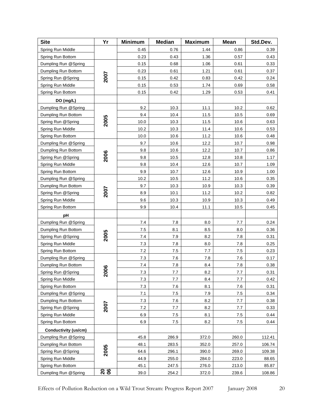| <b>Site</b>          | Yr            | <b>Minimum</b> | <b>Median</b> | <b>Maximum</b> | <b>Mean</b> | Std.Dev. |
|----------------------|---------------|----------------|---------------|----------------|-------------|----------|
| Spring Run Middle    |               | 0.45           | 0.76          | 1.44           | 0.86        | 0.39     |
| Spring Run Bottom    |               | 0.23           | 0.43          | 1.36           | 0.57        | 0.43     |
| Dumpling Run @Spring | 2007          | 0.15           | 0.68          | 1.06           | 0.61        | 0.33     |
| Dumpling Run Bottom  |               | 0.23           | 0.61          | 1.21           | 0.61        | 0.37     |
| Spring Run @Spring   |               | 0.15           | 0.42          | 0.83           | 0.42        | 0.24     |
| Spring Run Middle    |               | 0.15           | 0.53          | 1.74           | 0.69        | 0.58     |
| Spring Run Bottom    |               | 0.15           | 0.42          | 1.29           | 0.53        | 0.41     |
| DO (mg/L)            |               |                |               |                |             |          |
| Dumpling Run @Spring | 2005          | 9.2            | 10.3          | 11.1           | 10.2        | 0.62     |
| Dumpling Run Bottom  |               | 9.4            | 10.4          | 11.5           | 10.5        | 0.69     |
| Spring Run @Spring   |               | 10.0           | 10.3          | 11.5           | 10.6        | 0.63     |
| Spring Run Middle    |               | 10.2           | 10.3          | 11.4           | 10.6        | 0.53     |
| Spring Run Bottom    |               | 10.0           | 10.6          | 11.2           | 10.6        | 0.48     |
| Dumpling Run @Spring |               | 9.7            | 10.6          | 12.2           | 10.7        | 0.98     |
| Dumpling Run Bottom  |               | 9.8            | 10.6          | 12.2           | 10.7        | 0.86     |
| Spring Run @Spring   | 2006          | 9.8            | 10.5          | 12.8           | 10.8        | 1.17     |
| Spring Run Middle    |               | 9.8            | 10.4          | 12.6           | 10.7        | 1.09     |
| Spring Run Bottom    |               | 9.9            | 10.7          | 12.6           | 10.9        | 1.00     |
| Dumpling Run @Spring |               | 10.2           | 10.5          | 11.2           | 10.6        | 0.35     |
| Dumpling Run Bottom  |               | 9.7            | 10.3          | 10.9           | 10.3        | 0.39     |
| Spring Run @Spring   | 2007          | 8.9            | 10.1          | 11.2           | 10.2        | 0.82     |
| Spring Run Middle    |               | 9.6            | 10.3          | 10.9           | 10.3        | 0.49     |
| Spring Run Bottom    |               | 9.9            | 10.4          | 11.1           | 10.5        | 0.45     |
| рH                   |               |                |               |                |             |          |
| Dumpling Run @Spring |               | 7.4            | 7.8           | 8.0            | 7.7         | 0.24     |
| Dumpling Run Bottom  | 2005          | 7.5            | 8.1           | 8.5            | 8.0         | 0.36     |
| Spring Run @Spring   |               | 7.4            | 7.9           | 8.2            | 7.8         | 0.31     |
| Spring Run Middle    |               | 7.3            | 7.8           | 8.0            | 7.8         | 0.25     |
| Spring Run Bottom    |               | 7.2            | 7.5           | 7.7            | 7.5         | 0.23     |
| Dumpling Run @Spring |               | 7.3            | 7.6           | 7.8            | 7.6         | 0.17     |
| Dumpling Run Bottom  | 800           | 7.4            | 7.8           | 8.4            | 7.8         | 0.38     |
| Spring Run @Spring   | N             | 7.3            | 7.7           | 8.2            | 7.7         | 0.31     |
| Spring Run Middle    |               | 7.3            | 7.7           | 8.4            | 7.7         | 0.42     |
| Spring Run Bottom    |               | 7.3            | 7.6           | 8.1            | 7.6         | 0.31     |
| Dumpling Run @Spring |               | 7.1            | 7.5           | 7.9            | 7.5         | 0.34     |
| Dumpling Run Bottom  | 2007          | 7.3            | 7.6           | 8.2            | 7.7         | 0.38     |
| Spring Run @Spring   |               | 7.2            | 7.7           | 8.2            | 7.7         | 0.33     |
| Spring Run Middle    |               | 6.9            | 7.5           | 8.1            | 7.5         | 0.44     |
| Spring Run Bottom    |               | 6.9            | 7.5           | 8.2            | 7.5         | 0.44     |
| Conductivity (us/cm) |               |                |               |                |             |          |
| Dumpling Run @Spring |               | 45.8           | 286.9         | 372.0          | 260.0       | 112.41   |
| Dumpling Run Bottom  | 2005          | 48.1           | 283.5         | 352.0          | 257.0       | 106.74   |
| Spring Run @Spring   |               | 64.6           | 296.1         | 390.0          | 269.0       | 109.38   |
| Spring Run Middle    |               | 44.9           | 255.0         | 284.0          | 223.0       | 88.65    |
| Spring Run Bottom    |               | 45.1           | 247.5         | 276.0          | 213.0       | 85.87    |
| Dumpling Run @Spring | $\frac{8}{6}$ | 39.0           | 254.2         | 372.0          | 239.6       | 108.86   |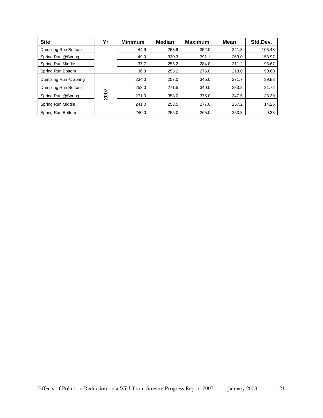| <b>Site</b>          | Yr   | <b>Minimum</b> | <b>Median</b> | <b>Maximum</b> | <b>Mean</b> | Std.Dev. |
|----------------------|------|----------------|---------------|----------------|-------------|----------|
| Dumpling Run Bottom  |      | 44.9           | 263.9         | 352.0          | 241.3       | 103.48   |
| Spring Run @Spring   |      | 49.0           | 330.3         | 391.1          | 263.0       | 153.97   |
| Spring Run Middle    |      | 37.7           | 255.2         | 284.0          | 211.2       | 93.67    |
| Spring Run Bottom    |      | 36.3           | 253.2         | 276.0          | 213.0       | 90.60    |
| Dumpling Run @Spring |      | 234.0          | 257.0         | 345.0          | 271.7       | 39.83    |
| Dumpling Run Bottom  | 2007 | 253.0          | 271.5         | 340.0          | 283.2       | 31.72    |
| Spring Run @Spring   |      | 271.0          | 358.0         | 375.0          | 347.5       | 38.30    |
| Spring Run Middle    |      | 241.0          | 253.5         | 277.0          | 257.2       | 14.26    |
| Spring Run Bottom    |      | 240.0          | 255.0         | 265.0          | 253.3       | 9.33     |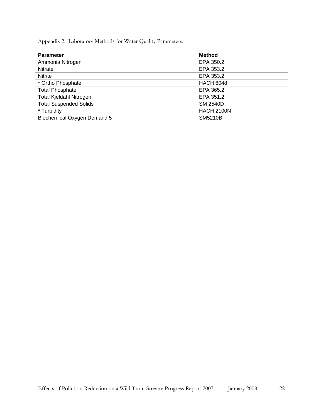Appendix 2. Laboratory Methods for Water Quality Parameters.

| <b>Parameter</b>               | <b>Method</b>     |
|--------------------------------|-------------------|
| Ammonia Nitrogen               | EPA 350.2         |
| Nitrate                        | EPA 353.2         |
| <b>Nitrite</b>                 | EPA 353.2         |
| * Ortho Phosphate              | <b>HACH 8048</b>  |
| <b>Total Phosphate</b>         | EPA 365.2         |
| <b>Total Kjeldahl Nitrogen</b> | EPA 351.2         |
| <b>Total Suspended Solids</b>  | <b>SM 2540D</b>   |
| * Turbidity                    | <b>HACH 2100N</b> |
| Biochemical Oxygen Demand 5    | <b>SM5210B</b>    |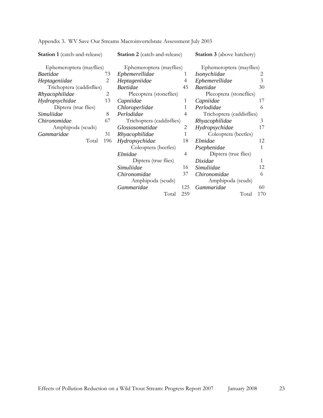| <b>Station 1</b> (catch-and-release) |     | <b>Station 2</b> (catch-and-release) |     | <b>Station 3</b> (above hatchery) |     |
|--------------------------------------|-----|--------------------------------------|-----|-----------------------------------|-----|
| Ephemeroptera (mayflies)             |     | Ephemeroptera (mayflies)             |     | Ephemeroptera (mayflies)          |     |
| <i>Baetidae</i>                      | 73  | Ephemerellidae                       | 1   | Isonychiidae                      | 2   |
| Heptageniidae                        | 2   | Heptageniidae                        |     | Ephemerellidae                    |     |
| Trichoptera (caddisflies)            |     | <b>Baetidae</b>                      | 45  | <b>Baetidae</b>                   | 30  |
| Rhyacophilidae                       | 2   | Plecoptera (stoneflies)              |     | Plecoptera (stoneflies)           |     |
| Hydropsychidae                       | 13  | Capniidae                            | 1   | Capniidae                         | 17  |
| Diptera (true flies)                 |     | Chloroperlidae                       | 1   | Perlodidae                        | 6   |
| Simuliidae                           | 8   | Perlodidae                           | 4   | Trichoptera (caddisflies)         |     |
| Chironomidae<br>67                   |     | Trichoptera (caddisflies)            |     | Rhyacophilidae                    | 3   |
| Amphipoda (scuds)                    |     | Glossosomatidae                      | 2   | Hydropsychidae                    | 17  |
| Gammaridae                           | 31  | Rhyacophilidae                       | 1   | Coleoptera (beetles)              |     |
| Total                                | 196 | Hydropsychidae                       | 18  | Elmidae                           | 12  |
|                                      |     | Coleoptera (beetles)                 |     | Psephenidae                       | 1   |
|                                      |     | Elmidae                              | 4   | Diptera (true flies)              |     |
|                                      |     | Diptera (true flies)                 |     | Dixidae                           | 1   |
|                                      |     | Simuliidae                           | 16  | Simuliidae                        | 12  |
|                                      |     | Chironomidae                         | 37  | Chironomidae                      | 6   |
|                                      |     | Amphipoda (scuds)                    |     | Amphipoda (scuds)                 |     |
|                                      |     | Gammaridae                           | 125 | Gammaridae                        | 60  |
|                                      |     | Total                                | 259 | Total                             | 170 |

Appendix 3. WV Save Our Streams Macroinvertebrate Assessment July 2003